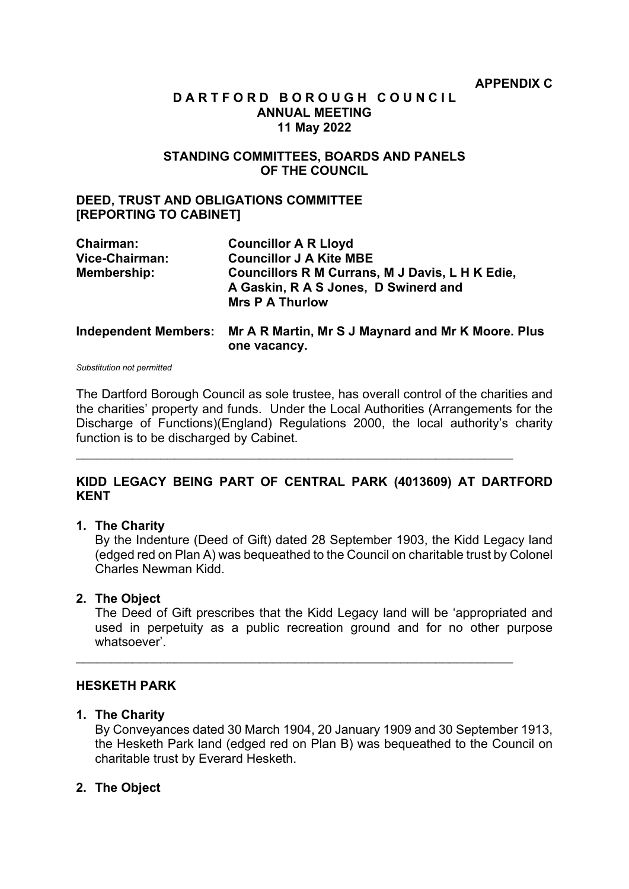## **D A R T F O R D B O R O U G H C O U N C I L ANNUAL MEETING 11 May 2022**

### **STANDING COMMITTEES, BOARDS AND PANELS OF THE COUNCIL**

### **DEED, TRUST AND OBLIGATIONS COMMITTEE [REPORTING TO CABINET]**

| Chairman:                   | <b>Councillor A R Lloyd</b>                                                             |
|-----------------------------|-----------------------------------------------------------------------------------------|
| Vice-Chairman:              | <b>Councillor J A Kite MBE</b>                                                          |
| Membership:                 | Councillors R M Currans, M J Davis, L H K Edie,<br>A Gaskin, R A S Jones, D Swinerd and |
|                             | <b>Mrs P A Thurlow</b>                                                                  |
| <b>Independent Members:</b> | Mr A R Martin, Mr S J Maynard and Mr K Moore. Plus<br>one vacancy.                      |

*Substitution not permitted*

The Dartford Borough Council as sole trustee, has overall control of the charities and the charities' property and funds. Under the Local Authorities (Arrangements for the Discharge of Functions)(England) Regulations 2000, the local authority's charity function is to be discharged by Cabinet.

# **KIDD LEGACY BEING PART OF CENTRAL PARK (4013609) AT DARTFORD KENT**

 $\mathcal{L}_\mathcal{L}$  , and the contribution of the contribution of the contribution of the contribution of the contribution of the contribution of the contribution of the contribution of the contribution of the contribution of

#### **1. The Charity**

By the Indenture (Deed of Gift) dated 28 September 1903, the Kidd Legacy land (edged red on Plan A) was bequeathed to the Council on charitable trust by Colonel Charles Newman Kidd.

## **2. The Object**

The Deed of Gift prescribes that the Kidd Legacy land will be 'appropriated and used in perpetuity as a public recreation ground and for no other purpose whatsoever'.

\_\_\_\_\_\_\_\_\_\_\_\_\_\_\_\_\_\_\_\_\_\_\_\_\_\_\_\_\_\_\_\_\_\_\_\_\_\_\_\_\_\_\_\_\_\_\_\_\_\_\_\_\_\_\_\_\_\_\_\_\_\_

#### **HESKETH PARK**

#### **1. The Charity**

By Conveyances dated 30 March 1904, 20 January 1909 and 30 September 1913, the Hesketh Park land (edged red on Plan B) was bequeathed to the Council on charitable trust by Everard Hesketh.

## **2. The Object**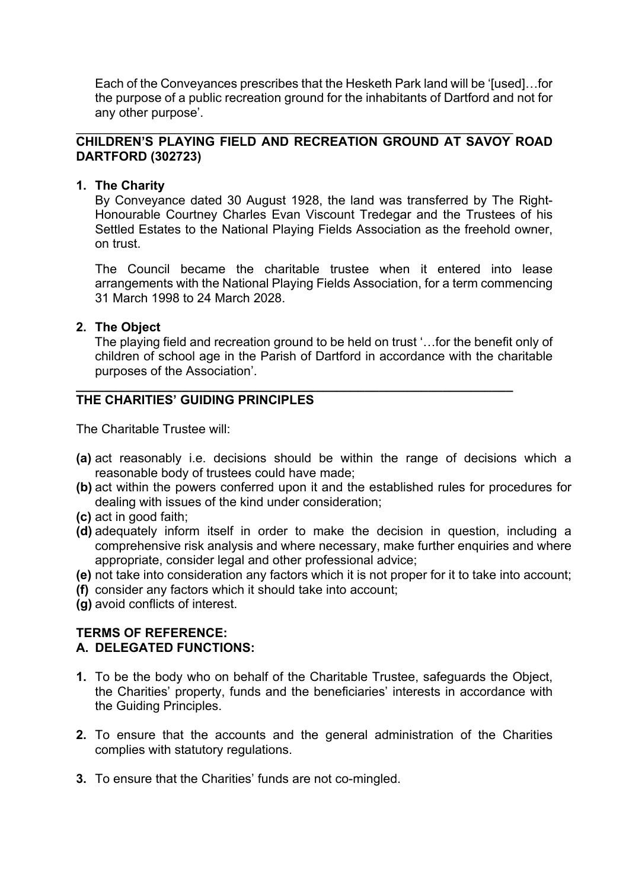Each of the Conveyances prescribes that the Hesketh Park land will be '[used]…for the purpose of a public recreation ground for the inhabitants of Dartford and not for any other purpose'.

#### $\mathcal{L}_\mathcal{L}$  , and the contribution of the contribution of the contribution of the contribution of the contribution of the contribution of the contribution of the contribution of the contribution of the contribution of **CHILDREN'S PLAYING FIELD AND RECREATION GROUND AT SAVOY ROAD DARTFORD (302723)**

# **1. The Charity**

By Conveyance dated 30 August 1928, the land was transferred by The Right-Honourable Courtney Charles Evan Viscount Tredegar and the Trustees of his Settled Estates to the National Playing Fields Association as the freehold owner, on trust.

The Council became the charitable trustee when it entered into lease arrangements with the National Playing Fields Association, for a term commencing 31 March 1998 to 24 March 2028.

# **2. The Object**

The playing field and recreation ground to be held on trust '…for the benefit only of children of school age in the Parish of Dartford in accordance with the charitable purposes of the Association'.

#### **\_\_\_\_\_\_\_\_\_\_\_\_\_\_\_\_\_\_\_\_\_\_\_\_\_\_\_\_\_\_\_\_\_\_\_\_\_\_\_\_\_\_\_\_\_\_\_\_\_\_\_\_\_\_\_\_\_\_\_\_\_\_ THE CHARITIES' GUIDING PRINCIPLES**

The Charitable Trustee will:

- **(a)** act reasonably i.e. decisions should be within the range of decisions which a reasonable body of trustees could have made;
- **(b)** act within the powers conferred upon it and the established rules for procedures for dealing with issues of the kind under consideration;
- **(c)** act in good faith;
- **(d)** adequately inform itself in order to make the decision in question, including a comprehensive risk analysis and where necessary, make further enquiries and where appropriate, consider legal and other professional advice;
- **(e)** not take into consideration any factors which it is not proper for it to take into account;
- **(f)** consider any factors which it should take into account;
- **(g)** avoid conflicts of interest.

# **TERMS OF REFERENCE: A. DELEGATED FUNCTIONS:**

- **1.** To be the body who on behalf of the Charitable Trustee, safeguards the Object, the Charities' property, funds and the beneficiaries' interests in accordance with the Guiding Principles.
- **2.** To ensure that the accounts and the general administration of the Charities complies with statutory regulations.
- **3.** To ensure that the Charities' funds are not co-mingled.